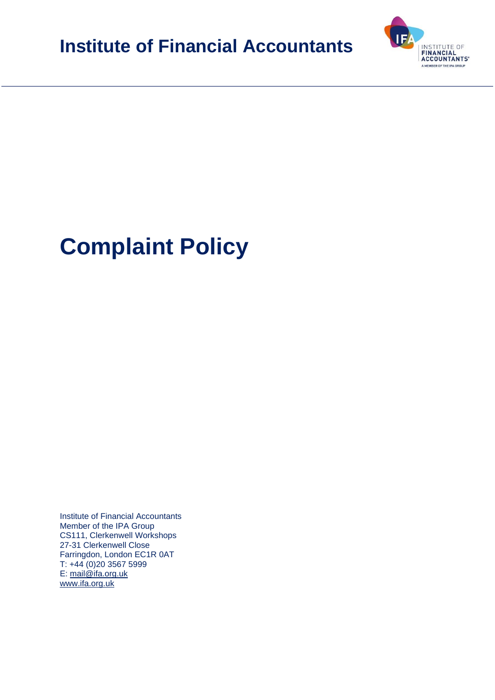**Institute of Financial Accountants** 



# **Complaint Policy**

Institute of Financial Accountants Member of the IPA Group CS111, Clerkenwell Workshops 27-31 Clerkenwell Close Farringdon, London EC1R 0AT T: +44 (0)20 3567 5999 E: [mail@ifa.org.uk](mailto:mail@ifa.org.uk) [www.ifa.org.uk](http://www.ifa.org.uk/)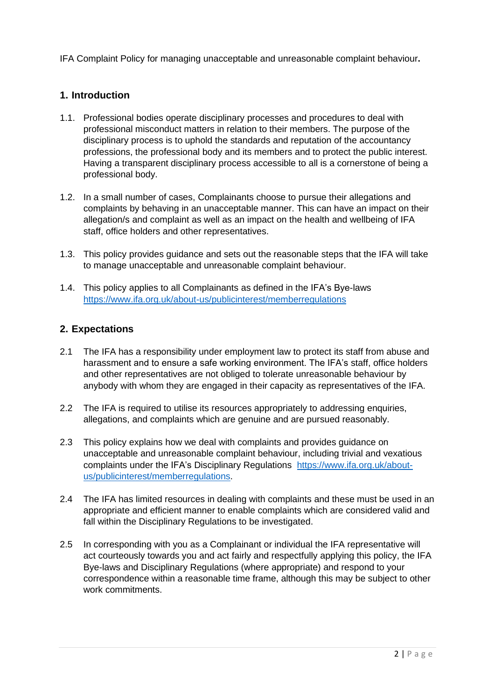IFA Complaint Policy for managing unacceptable and unreasonable complaint behaviour**.**

# **1. Introduction**

- 1.1. Professional bodies operate disciplinary processes and procedures to deal with professional misconduct matters in relation to their members. The purpose of the disciplinary process is to uphold the standards and reputation of the accountancy professions, the professional body and its members and to protect the public interest. Having a transparent disciplinary process accessible to all is a cornerstone of being a professional body.
- 1.2. In a small number of cases, Complainants choose to pursue their allegations and complaints by behaving in an unacceptable manner. This can have an impact on their allegation/s and complaint as well as an impact on the health and wellbeing of IFA staff, office holders and other representatives.
- 1.3. This policy provides guidance and sets out the reasonable steps that the IFA will take to manage unacceptable and unreasonable complaint behaviour.
- 1.4. This policy applies to all Complainants as defined in the IFA's Bye-laws <https://www.ifa.org.uk/about-us/publicinterest/memberregulations>

#### **2. Expectations**

- 2.1 The IFA has a responsibility under employment law to protect its staff from abuse and harassment and to ensure a safe working environment. The IFA's staff, office holders and other representatives are not obliged to tolerate unreasonable behaviour by anybody with whom they are engaged in their capacity as representatives of the IFA.
- 2.2 The IFA is required to utilise its resources appropriately to addressing enquiries, allegations, and complaints which are genuine and are pursued reasonably.
- 2.3 This policy explains how we deal with complaints and provides guidance on unacceptable and unreasonable complaint behaviour, including trivial and vexatious complaints under the IFA's Disciplinary Regulations [https://www.ifa.org.uk/about](https://www.ifa.org.uk/about-us/publicinterest/memberregulations)[us/publicinterest/memberregulations.](https://www.ifa.org.uk/about-us/publicinterest/memberregulations)
- 2.4 The IFA has limited resources in dealing with complaints and these must be used in an appropriate and efficient manner to enable complaints which are considered valid and fall within the Disciplinary Regulations to be investigated.
- 2.5 In corresponding with you as a Complainant or individual the IFA representative will act courteously towards you and act fairly and respectfully applying this policy, the IFA Bye-laws and Disciplinary Regulations (where appropriate) and respond to your correspondence within a reasonable time frame, although this may be subject to other work commitments.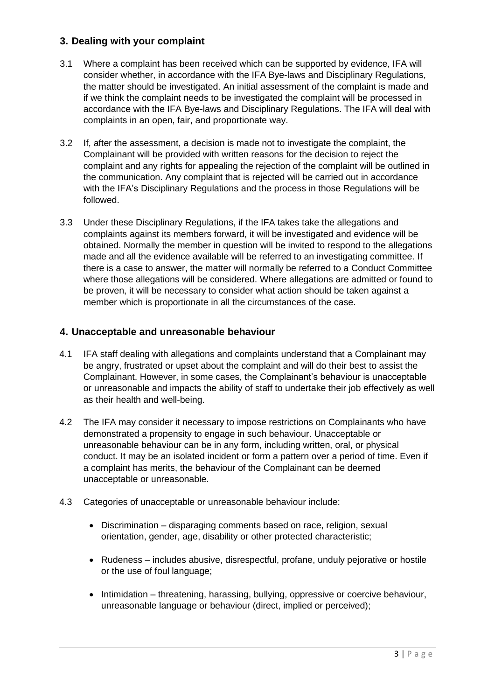# **3. Dealing with your complaint**

- 3.1 Where a complaint has been received which can be supported by evidence, IFA will consider whether, in accordance with the IFA Bye-laws and Disciplinary Regulations, the matter should be investigated. An initial assessment of the complaint is made and if we think the complaint needs to be investigated the complaint will be processed in accordance with the IFA Bye-laws and Disciplinary Regulations. The IFA will deal with complaints in an open, fair, and proportionate way.
- 3.2 If, after the assessment, a decision is made not to investigate the complaint, the Complainant will be provided with written reasons for the decision to reject the complaint and any rights for appealing the rejection of the complaint will be outlined in the communication. Any complaint that is rejected will be carried out in accordance with the IFA's Disciplinary Regulations and the process in those Regulations will be followed.
- 3.3 Under these Disciplinary Regulations, if the IFA takes take the allegations and complaints against its members forward, it will be investigated and evidence will be obtained. Normally the member in question will be invited to respond to the allegations made and all the evidence available will be referred to an investigating committee. If there is a case to answer, the matter will normally be referred to a Conduct Committee where those allegations will be considered. Where allegations are admitted or found to be proven, it will be necessary to consider what action should be taken against a member which is proportionate in all the circumstances of the case.

#### **4. Unacceptable and unreasonable behaviour**

- 4.1 IFA staff dealing with allegations and complaints understand that a Complainant may be angry, frustrated or upset about the complaint and will do their best to assist the Complainant. However, in some cases, the Complainant's behaviour is unacceptable or unreasonable and impacts the ability of staff to undertake their job effectively as well as their health and well-being.
- 4.2 The IFA may consider it necessary to impose restrictions on Complainants who have demonstrated a propensity to engage in such behaviour. Unacceptable or unreasonable behaviour can be in any form, including written, oral, or physical conduct. It may be an isolated incident or form a pattern over a period of time. Even if a complaint has merits, the behaviour of the Complainant can be deemed unacceptable or unreasonable.
- 4.3 Categories of unacceptable or unreasonable behaviour include:
	- Discrimination disparaging comments based on race, religion, sexual orientation, gender, age, disability or other protected characteristic;
	- Rudeness includes abusive, disrespectful, profane, unduly pejorative or hostile or the use of foul language;
	- Intimidation threatening, harassing, bullying, oppressive or coercive behaviour, unreasonable language or behaviour (direct, implied or perceived);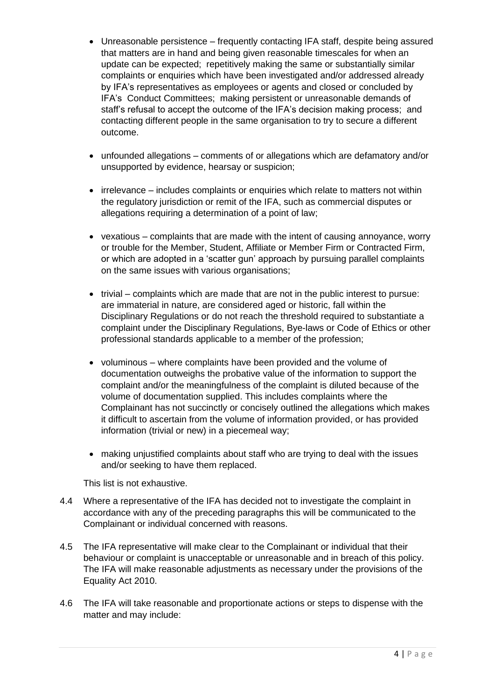- Unreasonable persistence frequently contacting IFA staff, despite being assured that matters are in hand and being given reasonable timescales for when an update can be expected; repetitively making the same or substantially similar complaints or enquiries which have been investigated and/or addressed already by IFA's representatives as employees or agents and closed or concluded by IFA's Conduct Committees; making persistent or unreasonable demands of staff's refusal to accept the outcome of the IFA's decision making process; and contacting different people in the same organisation to try to secure a different outcome.
- unfounded allegations comments of or allegations which are defamatory and/or unsupported by evidence, hearsay or suspicion;
- irrelevance includes complaints or enquiries which relate to matters not within the regulatory jurisdiction or remit of the IFA, such as commercial disputes or allegations requiring a determination of a point of law;
- vexatious complaints that are made with the intent of causing annoyance, worry or trouble for the Member, Student, Affiliate or Member Firm or Contracted Firm, or which are adopted in a 'scatter gun' approach by pursuing parallel complaints on the same issues with various organisations;
- trivial complaints which are made that are not in the public interest to pursue: are immaterial in nature, are considered aged or historic, fall within the Disciplinary Regulations or do not reach the threshold required to substantiate a complaint under the Disciplinary Regulations, Bye-laws or Code of Ethics or other professional standards applicable to a member of the profession;
- voluminous where complaints have been provided and the volume of documentation outweighs the probative value of the information to support the complaint and/or the meaningfulness of the complaint is diluted because of the volume of documentation supplied. This includes complaints where the Complainant has not succinctly or concisely outlined the allegations which makes it difficult to ascertain from the volume of information provided, or has provided information (trivial or new) in a piecemeal way;
- making unjustified complaints about staff who are trying to deal with the issues and/or seeking to have them replaced.

This list is not exhaustive.

- 4.4 Where a representative of the IFA has decided not to investigate the complaint in accordance with any of the preceding paragraphs this will be communicated to the Complainant or individual concerned with reasons.
- 4.5 The IFA representative will make clear to the Complainant or individual that their behaviour or complaint is unacceptable or unreasonable and in breach of this policy. The IFA will make reasonable adjustments as necessary under the provisions of the Equality Act 2010.
- 4.6 The IFA will take reasonable and proportionate actions or steps to dispense with the matter and may include: